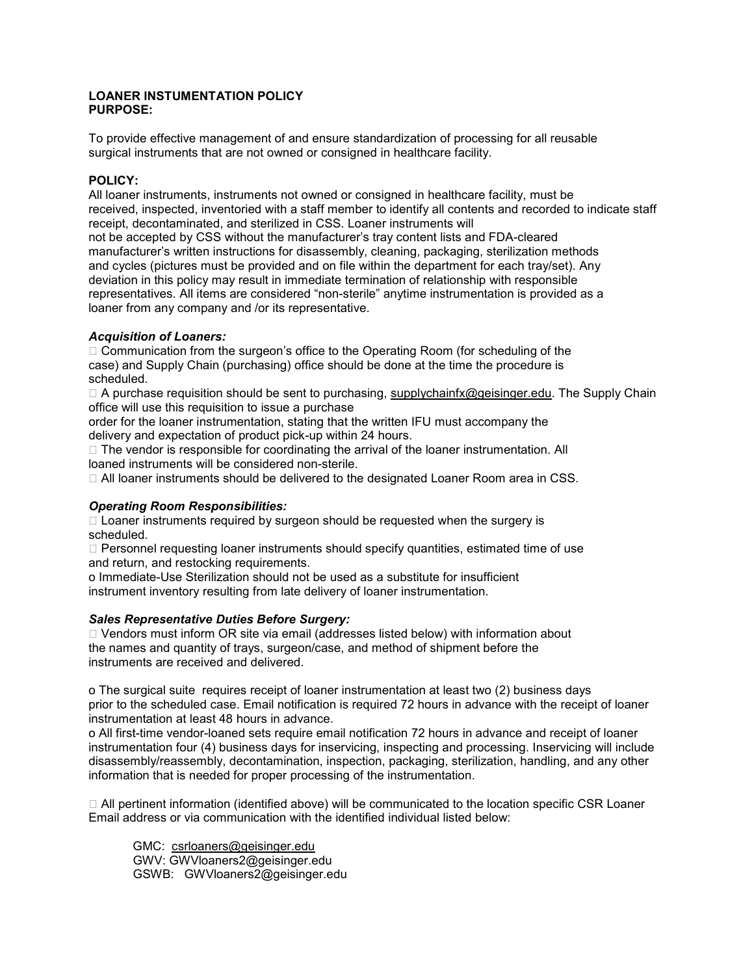#### **LOANER INSTUMENTATION POLICY PURPOSE:**

To provide effective management of and ensure standardization of processing for all reusable surgical instruments that are not owned or consigned in healthcare facility.

#### **POLICY:**

 received, inspected, inventoried with a staff member to identify all contents and recorded to indicate staff not be accepted by CSS without the manufacturer's tray content lists and FDA-cleared loaner from any company and /or its representative. All loaner instruments, instruments not owned or consigned in healthcare facility, must be receipt, decontaminated, and sterilized in CSS. Loaner instruments will manufacturer's written instructions for disassembly, cleaning, packaging, sterilization methods and cycles (pictures must be provided and on file within the department for each tray/set). Any deviation in this policy may result in immediate termination of relationship with responsible representatives. All items are considered "non-sterile" anytime instrumentation is provided as a

# *Acquisition of Loaners:*

 $\Box$  Communication from the surgeon's office to the Operating Room (for scheduling of the case) and Supply Chain (purchasing) office should be done at the time the procedure is scheduled.

 $\Box$  A purchase requisition should be sent to purchasing, [supplychainfx@geisinger.edu.](mailto:supplychainfx@geisinger.edu) The Supply Chain office will use this requisition to issue a purchase

order for the loaner instrumentation, stating that the written IFU must accompany the delivery and expectation of product pick-up within 24 hours.

 $\Box$  The vendor is responsible for coordinating the arrival of the loaner instrumentation. All loaned instruments will be considered non-sterile.

All loaner instruments should be delivered to the designated Loaner Room area in CSS.

# *Operating Room Responsibilities:*

 $\Box$  Loaner instruments required by surgeon should be requested when the surgery is scheduled.

 $\square$  Personnel requesting loaner instruments should specify quantities, estimated time of use and return, and restocking requirements.

o Immediate-Use Sterilization should not be used as a substitute for insufficient instrument inventory resulting from late delivery of loaner instrumentation.

#### *Sales Representative Duties Before Surgery:*

instruments are received and delivered.  $\Box$  Vendors must inform OR site via email (addresses listed below) with information about the names and quantity of trays, surgeon/case, and method of shipment before the

instruments are received and delivered.<br>o The surgical suite requires receipt of loaner instrumentation at least two (2) business days prior to the scheduled case. Email notification is required 72 hours in advance with the receipt of loaner instrumentation at least 48 hours in advance.

o All first-time vendor-loaned sets require email notification 72 hours in advance and receipt of loaner instrumentation four (4) business days for inservicing, inspecting and processing. Inservicing will include disassembly/reassembly, decontamination, inspection, packaging, sterilization, handling, and any other information that is needed for proper processing of the instrumentation.

 $\Box$  All pertinent information (identified above) will be communicated to the location specific CSR Loaner Email address or via communication with the identified individual listed below:

GMC: csrloaners@geisinger.edu GWV: [GWVloaners2@geisinger.edu](mailto:GWVloaners2@geisinger.edu)  GSWB: [GWVloaners2@geisinger.edu](mailto:GWVloaners2@geisinger.edu)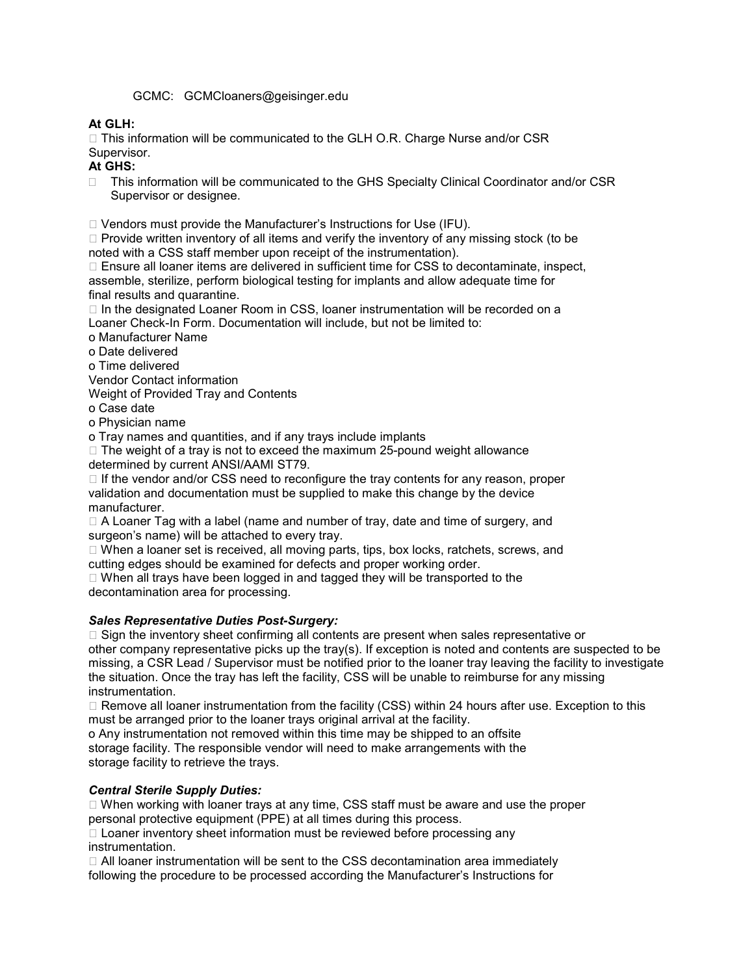# GCMC: [GCMCloaners@geisinger.edu](mailto:GCMCloaners@geisinger.edu)

# **At GLH:**

 $\Box$  This information will be communicated to the GLH O.R. Charge Nurse and/or CSR Supervisor.

# **At GHS:**

□ This information will be communicated to the GHS Specialty Clinical Coordinator and/or CSR Supervisor or designee.

□ Vendors must provide the Manufacturer's Instructions for Use (IFU).

 $\Box$  Provide written inventory of all items and verify the inventory of any missing stock (to be noted with a CSS staff member upon receipt of the instrumentation).

 $\Box$  Ensure all loaner items are delivered in sufficient time for CSS to decontaminate, inspect, assemble, sterilize, perform biological testing for implants and allow adequate time for final results and quarantine.

 $\Box$  In the designated Loaner Room in CSS, loaner instrumentation will be recorded on a Loaner Check-In Form. Documentation will include, but not be limited to:

o Manufacturer Name

o Date delivered

o Time delivered

Vendor Contact information

Weight of Provided Tray and Contents

o Case date

o Physician name

o Tray names and quantities, and if any trays include implants

 $\Box$  The weight of a tray is not to exceed the maximum 25-pound weight allowance determined by current ANSI/AAMI ST79.

 $\Box$  If the vendor and/or CSS need to reconfigure the tray contents for any reason, proper validation and documentation must be supplied to make this change by the device manufacturer.

 $\Box$  A Loaner Tag with a label (name and number of tray, date and time of surgery, and surgeon's name) will be attached to every tray.

 $\Box$  When a loaner set is received, all moving parts, tips, box locks, ratchets, screws, and cutting edges should be examined for defects and proper working order.

□ When all trays have been logged in and tagged they will be transported to the decontamination area for processing.

# *Sales Representative Duties Post-Surgery:*

 missing, a CSR Lead / Supervisor must be notified prior to the loaner tray leaving the facility to investigate □ Sign the inventory sheet confirming all contents are present when sales representative or other company representative picks up the tray(s). If exception is noted and contents are suspected to be the situation. Once the tray has left the facility, CSS will be unable to reimburse for any missing instrumentation.

 must be arranged prior to the loaner trays original arrival at the facility.  $\Box$  Remove all loaner instrumentation from the facility (CSS) within 24 hours after use. Exception to this

 storage facility. The responsible vendor will need to make arrangements with the o Any instrumentation not removed within this time may be shipped to an offsite storage facility to retrieve the trays.

# *Central Sterile Supply Duties:*

 $\Box$  When working with loaner trays at any time, CSS staff must be aware and use the proper personal protective equipment (PPE) at all times during this process.

□ Loaner inventory sheet information must be reviewed before processing any instrumentation.

 All loaner instrumentation will be sent to the CSS decontamination area immediately following the procedure to be processed according the Manufacturer's Instructions for